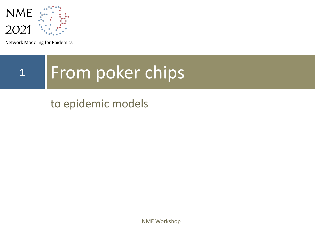

**Network Modeling for Epidemics** 

# **<sup>1</sup>** From poker chips

## to epidemic models

NME Workshop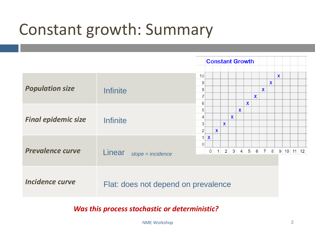# Constant growth: Summary

|                            |                                     | <b>Constant Growth</b>                          |                                |             |              |              |                |              |              |              |                             |             |            |  |
|----------------------------|-------------------------------------|-------------------------------------------------|--------------------------------|-------------|--------------|--------------|----------------|--------------|--------------|--------------|-----------------------------|-------------|------------|--|
| <b>Population size</b>     | <b>Infinite</b>                     | 10<br>9<br>8<br>7                               |                                |             |              |              |                |              | $\mathbf{x}$ | $\mathbf{x}$ | $\mathbf x$                 | $\mathbf x$ |            |  |
| <b>Final epidemic size</b> | <b>Infinite</b>                     | 6<br>5<br>4<br>3 <sup>2</sup><br>$\overline{c}$ |                                | $\mathbf x$ | $\mathbf{x}$ | $\mathbf{x}$ | $\mathbf{x}$   | $\mathbf{x}$ |              |              |                             |             |            |  |
| <b>Prevalence curve</b>    | Linear<br>$slope = incidence$       | 1 <br>$\mathbf 0$                               | $\mathbf{x}$<br>$\overline{0}$ | $\vert$ 1   |              | $2 \quad 3$  | $\overline{4}$ |              |              |              | $5 \quad 6 \quad 7 \quad 8$ |             | 9 10 11 12 |  |
| <b>Incidence curve</b>     | Flat: does not depend on prevalence |                                                 |                                |             |              |              |                |              |              |              |                             |             |            |  |

*Was this process stochastic or deterministic?*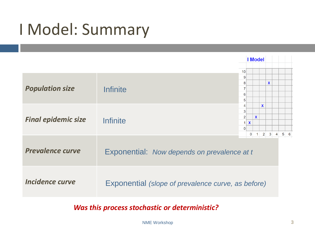# I Model: Summary



*Was this process stochastic or deterministic?*

NME Workshop **3**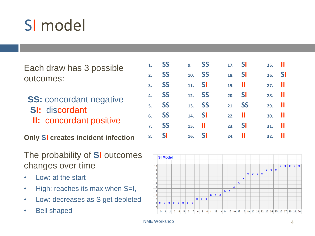# SI model

Each draw has 3 possible outcomes:

- **SS: concordant negative**
- **SI:** discordant
- **II:** concordant positive

**Only SI creates incident infection**

#### The probability of **SI** outcomes changes over time

- Low: at the start
- High: reaches its max when S=I,
- Low: decreases as S get depleted
- Bell shaped

|    | 1. <b>SS</b> | 9. <b>SS</b>         | 17. <b>SI</b>        | $25.$ $\blacksquare$ |  |
|----|--------------|----------------------|----------------------|----------------------|--|
|    | 2. SS        | 10. SS               | 18. <b>SI</b>        | 26. <b>SI</b>        |  |
|    | 3. SS        | 11. <b>SI</b>        | $19.$ $\blacksquare$ | $27.$ II             |  |
|    | 4. <b>SS</b> | 12. SS               | 20. <b>SI</b>        | $28.$ $\blacksquare$ |  |
|    | 5. <b>SS</b> | 13. <b>SS</b>        | 21. SS               | $29.$ II             |  |
|    | 6. <b>SS</b> | $14.$ SI             | $22.$ II             | $30.$ $\blacksquare$ |  |
|    | 7. <b>SS</b> | $15.$ $\blacksquare$ | $23.$ SI             | $31.$                |  |
| 8. | <b>SI</b>    | $16.$ SI             | 24.                  | $32.$ $  $           |  |

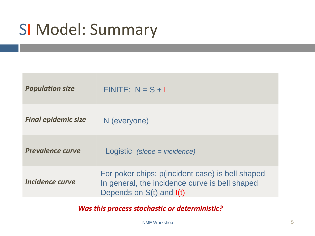# SI Model: Summary

| <b>Population size</b>     | $FINITE: N = S + I$                                                                                                                |
|----------------------------|------------------------------------------------------------------------------------------------------------------------------------|
| <b>Final epidemic size</b> | N (everyone)                                                                                                                       |
| <b>Prevalence curve</b>    | Logistic (slope = incidence)                                                                                                       |
| Incidence curve            | For poker chips: p(incident case) is bell shaped<br>In general, the incidence curve is bell shaped<br>Depends on $S(t)$ and $I(t)$ |

*Was this process stochastic or deterministic?*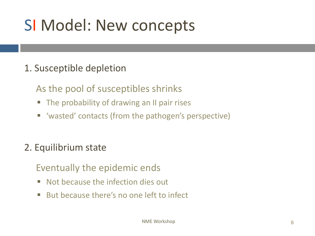# SI Model: New concepts

### 1. Susceptible depletion

As the pool of susceptibles shrinks

- The probability of drawing an II pair rises
- 'wasted' contacts (from the pathogen's perspective)

### 2. Equilibrium state

Eventually the epidemic ends

- Not because the infection dies out
- But because there's no one left to infect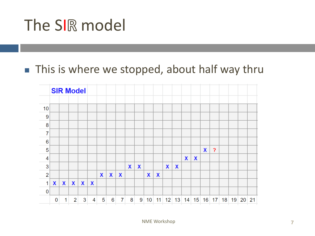# The SIR model

## ■ This is where we stopped, about half way thru

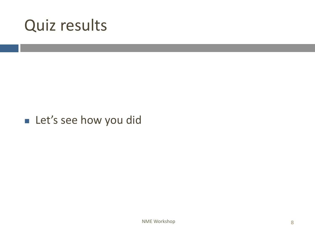## Quiz results

### ■ Let's see how you did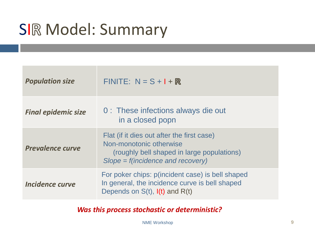# SIR Model: Summary

| <b>Population size</b>     | $FINITE: N = S + I + R$                                                                                                                                    |
|----------------------------|------------------------------------------------------------------------------------------------------------------------------------------------------------|
| <b>Final epidemic size</b> | 0 : These infections always die out<br>in a closed popn                                                                                                    |
| <b>Prevalence curve</b>    | Flat (if it dies out after the first case)<br>Non-monotonic otherwise<br>(roughly bell shaped in large populations)<br>$Slope = f(incidence and recovery)$ |
| Incidence curve            | For poker chips: p(incident case) is bell shaped<br>In general, the incidence curve is bell shaped<br>Depends on $S(t)$ , $I(t)$ and $R(t)$                |

*Was this process stochastic or deterministic?* 

NME Workshop **9**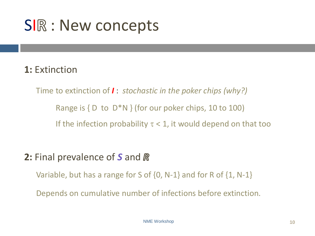# SIR : New concepts

### **1:** Extinction

Time to extinction of *I* : *stochastic in the poker chips (why?)* Range is  $\{D \text{ to } D^*N\}$  (for our poker chips, 10 to 100) If the infection probability  $\tau < 1$ , it would depend on that too

### **2:** Final prevalence of *S* and

Variable, but has a range for S of {0, N-1} and for R of {1, N-1}

Depends on cumulative number of infections before extinction.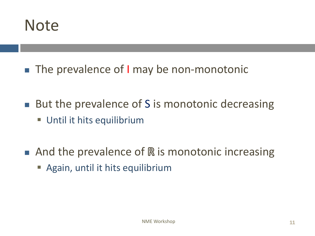

- The prevalence of I may be non-monotonic
- But the prevalence of S is monotonic decreasing **Until it hits equilibrium**
- $\blacksquare$  And the prevalence of  $\mathbb R$  is monotonic increasing
	- **E** Again, until it hits equilibrium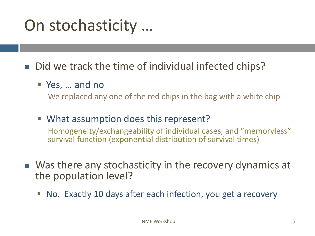# On stochasticity …

■ Did we track the time of individual infected chips?

■ Yes, ... and no

We replaced any one of the red chips in the bag with a white chip

- What assumption does this represent? Homogeneity/exchangeability of individual cases, and "memoryless" survival function (exponential distribution of survival times)
- Was there any stochasticity in the recovery dynamics at the population level?
	- No. Exactly 10 days after each infection, you get a recovery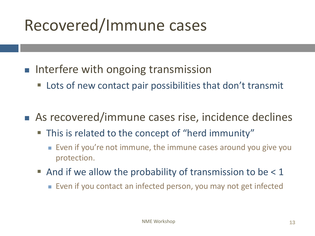# Recovered/Immune cases

- Interfere with ongoing transmission
	- Lots of new contact pair possibilities that don't transmit
- As recovered/immune cases rise, incidence declines
	- This is related to the concept of "herd immunity"
		- Even if you're not immune, the immune cases around you give you protection.
	- $\blacksquare$  And if we allow the probability of transmission to be  $\lt 1$ 
		- Even if you contact an infected person, you may not get infected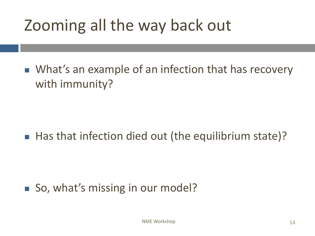# Zooming all the way back out

■ What's an example of an infection that has recovery with immunity?

## ■ Has that infection died out (the equilibrium state)?

## ■ So, what's missing in our model?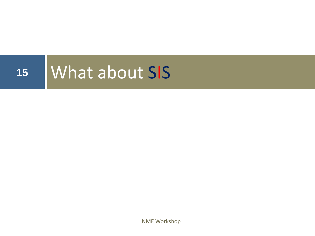

NME Workshop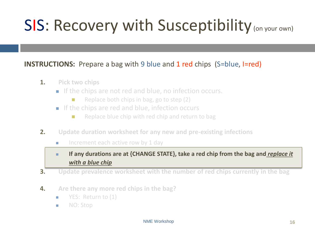# SIS: Recovery with Susceptibility (on your own)

#### **INSTRUCTIONS:** Prepare a bag with 9 blue and 1 red chips (S=blue, I=red)

- **1. Pick two chips**
	- If the chips are not red and blue, no infection occurs.
		- Replace both chips in bag, go to step (2)
	- If the chips are red and blue, infection occurs
		- Replace blue chip with red chip and return to bag
- **2. Update duration worksheet for any new and pre-existing infections**
	- Increment each active row by 1 day

■ If any durations are at {CHANGE STATE}, take a red chip from the bag and *replace it with a blue chip*

- **3. Update prevalence worksheet with the number of red chips currently in the bag**
- **4. Are there any more red chips in the bag?**
	- YES: Return to (1)
	- NO: Stop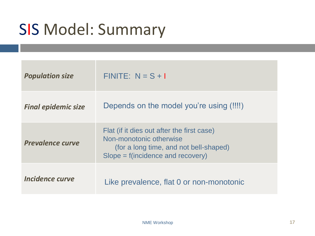# SIS Model: Summary

| <b>Population size</b>     | $FINITE: N = S + I$                                                                                                                                    |
|----------------------------|--------------------------------------------------------------------------------------------------------------------------------------------------------|
| <b>Final epidemic size</b> | Depends on the model you're using (!!!!)                                                                                                               |
| <b>Prevalence curve</b>    | Flat (if it dies out after the first case)<br>Non-monotonic otherwise<br>(for a long time, and not bell-shaped)<br>$Slope = f(incidence and recovery)$ |
| Incidence curve            | Like prevalence, flat 0 or non-monotonic                                                                                                               |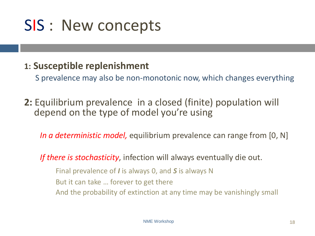# SIS : New concepts

### **1: Susceptible replenishment**

S prevalence may also be non-monotonic now, which changes everything

**2:** Equilibrium prevalence in a closed (finite) population will depend on the type of model you're using

*In a deterministic model,* equilibrium prevalence can range from [0, N]

*If there is stochasticity*, infection will always eventually die out.

Final prevalence of *I* is always 0, and *S* is always N But it can take … forever to get there And the probability of extinction at any time may be vanishingly small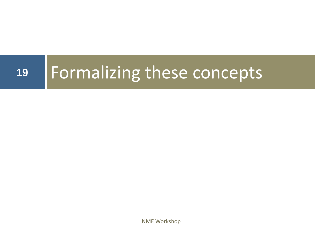# **<sup>19</sup>** Formalizing these concepts

NME Workshop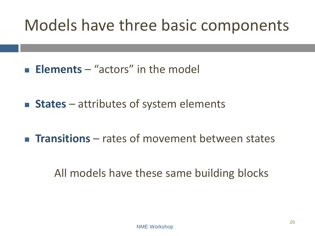# Models have three basic components

- **Elements** "actors" in the model
- **States** attributes of system elements
- **Transitions** rates of movement between states

## All models have these same building blocks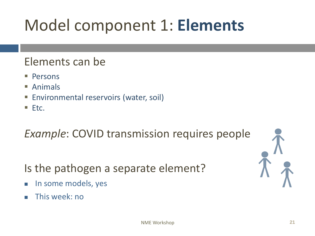# Model component 1: **Elements**

### Elements can be

- Persons
- Animals
- **Environmental reservoirs (water, soil)**
- $\blacksquare$  Etc.

## *Example*: COVID transmission requires people

Is the pathogen a separate element?

- In some models, yes
- This week: no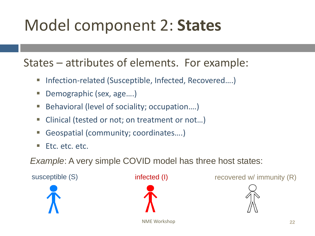# Model component 2: **States**

States – attributes of elements. For example:

- Infection-related (Susceptible, Infected, Recovered....)
- Demographic (sex, age....)
- Behavioral (level of sociality; occupation....)
- Clinical (tested or not; on treatment or not...)
- Geospatial (community; coordinates....)
- Etc. etc. etc.

*Example*: A very simple COVID model has three host states:





susceptible (S) infected (I) recovered w/ immunity (R)

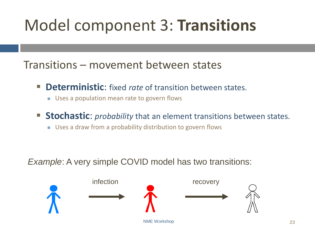# Model component 3: **Transitions**

Transitions – movement between states

- **Deterministic:** fixed *rate* of transition between states.
	- Uses a population mean rate to govern flows
- **EXED Stochastic:** *probability* that an element transitions between states.
	- Uses a draw from a probability distribution to govern flows

*Example:* A very simple COVID model has two transitions:

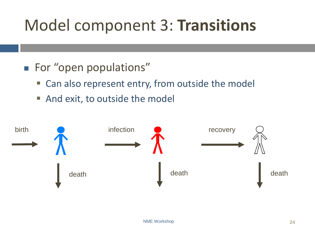# Model component 3: **Transitions**

- For "open populations"
	- Can also represent entry, from outside the model
	- And exit, to outside the model

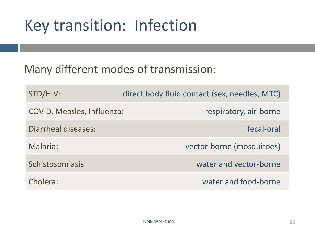# Key transition: Infection

### Many different modes of transmission:

| STD/HIV:                          | direct body fluid contact (sex, needles, MTC) |
|-----------------------------------|-----------------------------------------------|
| <b>COVID, Measles, Influenza:</b> | respiratory, air-borne                        |
| Diarrheal diseases:               | fecal-oral                                    |
| Malaria:                          | vector-borne (mosquitoes)                     |
| Schistosomiasis:                  | water and vector-borne                        |
| Cholera:                          | water and food-borne                          |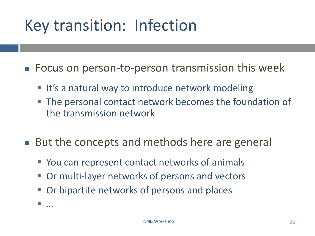# Key transition: Infection

■ Focus on person-to-person transmission this week

- It's a natural way to introduce network modeling
- **The personal contact network becomes the foundation of** the transmission network
- But the concepts and methods here are general
	- You can represent contact networks of animals
	- Or multi-layer networks of persons and vectors
	- Or bipartite networks of persons and places
	- …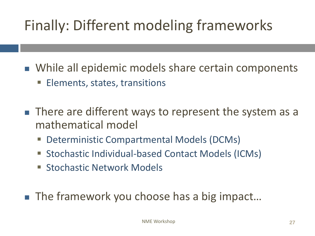# Finally: Different modeling frameworks

■ While all epidemic models share certain components

- Elements, states, transitions
- There are different ways to represent the system as a mathematical model
	- Deterministic Compartmental Models (DCMs)
	- Stochastic Individual-based Contact Models (ICMs)
	- **E** Stochastic Network Models
- The framework you choose has a big impact...